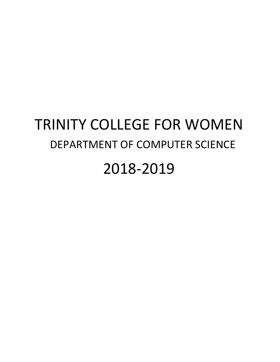# TRINITY COLLEGE FOR WOMEN DEPARTMENT OF COMPUTER SCIENCE 2018-2019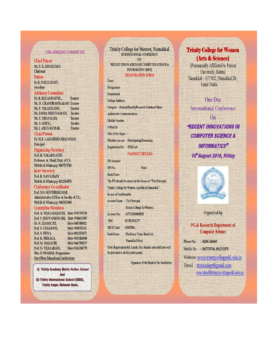### ORGANIZING COMMITTEE

**Chief Patron** Mr. P. K. SENGODAN, Chairman Patron Er. K. NALLUSAMY. Secretary **Advisory Committee** Dr. R. KULANDAIVEL. **Trustee** Mr. D. CHANDRASEKARAN. Trustee Mr. P. PALANISAMY, Trustee Mr. RAMA SRINIVAASAN, Trustee Mr. P. DHAYALAN, Trustee Mr. S. GOPAL, Trustee Mr. J. ARUN KUMAR, Trustee **Chair Person** Dr. M.R. LAKSHIMINARAYANAN Principal **Organizing Secretary** Prof. K. VALARMATHI Professor & Head, Dept. of CS. Mobile & Whatsapp: 9487570746 **Joint Secretary** Prof. R. NAVAMANI Mobile & Whatsapp: 8012355078 **Conference Co-ordinator** Prof. N.S. SENTHILKUMAR Administrative Officer & Faculty of CS., Mobile & Whatsapp: 9443515368 **Committee Members** Prof. A. VIJAYASARATHI, Mob: 9787578750 Prof. S. BHUVANESWARI, Mob: 9788013907 Dr. N. ELAMATHI, Mob: 9487494921 Prof. S. USHARANI, Mob: 9600335511 Prof. S. PRIYA, Mob: 8012033472 Prof. K. MEKALA, Mob: 9003454940 Prof. M. MALATHI, Mob: 9443706257 Prof. N. VIJAYARANI, Mob: 9345194779 Mrs. D. PRABHA, Programmer Our Other Educational Institutions

(i) Trinity Academy Matric Hr.Sec. School And (ii) Trinity International School (CBSE),

**Trinity Nagar, Mohanur Road,** 

**Trinity College for Women, Namakkal INTERNATIONAL CONFERENCE**  $ON$ "RECENT INNOVATIONS IN COMPUTER SCIENCE & **INFORMATICS" (RICI) REGISTRATION FORM** Name Designation Department **College Address:** Category: Student/Faculty/Research Scholars/Others Address for Communication: Mobile Number E-Mail Id Title of the Paper: Whether you are : Participating/Presenting Registration Fee : DD/Cash **PAYMENT DETAILS DD** Amount

#### DD<sub>No.</sub> Date: **Bank Name** The DD should be drawn in the favour of "The Principal, Trinity College for Women, payable at Namakkal". In case of fund transfer Account Name : The Principal, Trinity College for Women. Account No. : 1177115000005030 : KVBL0001177 **IFSC**  $:636053011$ **MICR Code Bank Name** : The Karur Vysya Bank Ltd., Namakkal West. Note: Registration Kit, Lunch, Tea, Snacks and certificate will

be provided to all the participants.

Signature of the Head of the Institution

# **Trinity College for Women** (Arts & Science)

(Permanently Affiliated to Periyar University, Salem) Namakkal - 637 002, Namakkal Dt., Tamil Nadu

## **One Day**

**International Conference**  $On$ **"RECENT INNOVATIONS IN COMPUTER SCIENCE & INFORMATICS**<sup>77</sup> 10<sup>th</sup> August 2018, Friday



## Organized by

PG & Research Department of **Computer Science** 

| hone No.         | $: 04286 - 266669$                    |
|------------------|---------------------------------------|
| <b>Iobile No</b> | : 9487570746, 8012355078              |
|                  | Vebsite: www.trinitycollegenkl.edu.in |
|                  | Email: trinicsdept@gmail.com          |
|                  | trwcshod@trinitycollegenkl edu ii     |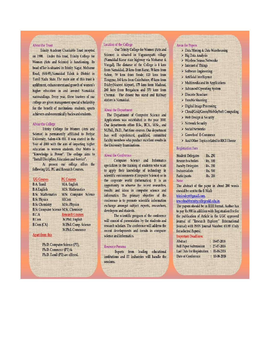#### **About the Trust**

Trinity Academy Charitable Trust incepted on 1998. Under this trust, Trinity College for Women (Arts and Science) is functioning. Its head office is situated in Trinity Nagar, Mohanur Road, (SH-95), Namakkal Taluk & District in Tamil Nadu State. The main aim of this trust is upliftment, enhancement and growth of women's higher education in and around Namakkal surroundings. Every year, these trustees of our college are given management special scholarship for the benefit of meritorious students, sports achievers and economically backward students.

#### **About the College**

Trinity College for Women (Arts and Science) is permanently affiliated to Periyar University, Salem-636 011. It was started in the Year of 2000 with the aim of imparting higher education to women students. Our Motto is "Knowledge is Power". The college aims to "Install Discipline, Education and Service".

At present our college offers the following UG, PG and Research Courses.

| <b>PG Courses</b>                            |  |  |  |  |
|----------------------------------------------|--|--|--|--|
| M.A. English                                 |  |  |  |  |
| <b>M.Sc Mathematics</b>                      |  |  |  |  |
| M.Sc Computer Scienc                         |  |  |  |  |
| M.Com                                        |  |  |  |  |
| M.Sc. Physics                                |  |  |  |  |
| <b>B.Sc Computer Science M.Sc. Chemistry</b> |  |  |  |  |
| <b>Research Courses</b>                      |  |  |  |  |
| M.Phil. English                              |  |  |  |  |
| M.Phil. Comp. Science                        |  |  |  |  |
| <b>M.Phil. Commerce</b>                      |  |  |  |  |
|                                              |  |  |  |  |

#### Apart from this

Ph.D. Computer Science (PT), Ph.D. Commerce (PT) & Ph.D. Tamil (PT) are offered.

#### Location of the College

Our Trinity College for Women (Arts and Science) is situated in Vagurampatti village (Namakkal-Karur state highway via Mohanur & Vangal), The distance of the College is 4 kms from Namakkal, 28 kms from Karur, 58 kms from Salem, 59 kms from Frode, 120 kms from Tiruppur, 160 kms from Coimbatore, 85 kms from Trichy(Nearest Airport), 175 kms form Madurai, 260 kms from Bengaluru and 370 kms from Chennai. The closest bus stand and Railway station is Namakkal.

#### **About the Department**

The Department of Computer Science and Applications was established in the year 2000. Our departments offers B.Sc., BCA., M.Sc., and M.Phil., Ph.D., Part time courses. Our department has well experienced, qualified, committed faculty members who produce excellent results in the University Examinations.

#### **About the Conference**

Computer Science and Informatics specializes in the training of students who want to apply their knowledge of technology in scientific environments (Computer Science) or in the corporate world (Informatics). It is an opportunity to observe the recent researches, results and ideas in computer science and informatics. The primary objective of the conference is to promote scientific information exchange amongst subject experts, researchers, developers and students.

The scientific program of the conference will consist of presentation by the students and research scholars. The conference will address the recent developments and trends in computer science and informatics.

#### **Resource Persons**

Experts from leading educational institutions and IT industries will handle the sessions.

#### **Areas for Papers**

- > Data Mining & Data Warehousing
- > Big Data Analysis
- ▶ Wireless Sensor Networks
- $\triangleright$  Internet of Things
- $\triangleright$  Software Engineering
- > Artificial Intelligence
- > Multimedia and its Applications
- Advanced Operating System
- > Discrete Structure
- > Trouble Shooting
- > Digital Image Processing
- > Cloud/Grid/Green/Mobile/Soft Computing
- > Web Design & Security
- > Network Security
- > Social Networks
- Growth of E-Commerce
- And Other Topics related to RICI Theme

#### **Registration Fees**

| <b>Student Delegates</b> | : Rs. 250 |
|--------------------------|-----------|
| Research scholars        | : Rs. 300 |
| <b>Faculty Delegates</b> | : Rs. 350 |
| Industrialists           | : Rs. 500 |
| Participants             | : Rs. 200 |
| Note:                    |           |

The abstract of the paper in about 200 words should be sent to the E-Mail:

#### trinicsdept@gmail.com, tcwcshod@trinitycollegenkl.edu.in.

The papers should be in IEEE format. Author has

to pay Rs.900 in addition with Registration Fee for the publication of Article in the UGC approved journal of "Research Explorer" (International Journal) with ISSN Journal Number: 63185 (Only for selected Papers).

#### **Important Deadlines:**

| Abstract                               | $: 18-07-2018$ |
|----------------------------------------|----------------|
| <b>Full Paper Submission</b>           | $: 27-07-2018$ |
| Last Date for Registration: 01-08-2018 |                |
| Date of Conference                     | $: 10-08-2018$ |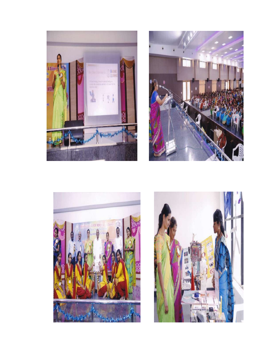





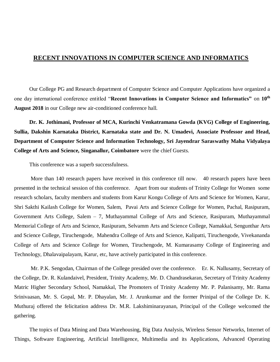## **RECENT INNOVATIONS IN COMPUTER SCIENCE AND INFORMATICS**

 Our College PG and Research department of Computer Science and Computer Applications have organized a one day international conference entitled "**Recent Innovations in Computer Science and Informatics"** on **10th August 2018** in our College new air-conditioned conference hall.

 **Dr. K. Jothimani, Professor of MCA, Kurinchi Venkatramana Gowda (KVG) College of Engineering, Sullia, Dakshin Karnataka District, Karnataka state and Dr. N. Umadevi, Associate Professor and Head, Department of Computer Science and Information Technology, Sri Jayendrar Saraswathy Maha Vidyalaya College of Arts and Science, Singanallur, Coimbatore** were the chief Guests.

This conference was a superb successfulness.

 More than 140 research papers have received in this conference till now. 40 research papers have been presented in the technical session of this conference. Apart from our students of Trinity College for Women some research scholars, faculty members and students from Karur Kongu College of Arts and Science for Women, Karur, Shri Sakthi Kailash College for Women, Salem, Pavai Arts and Science College for Women, Pachal, Rasipuram, Government Arts College, Salem – 7, Muthayammal College of Arts and Science, Rasipuram, Muthayammal Memorial College of Arts and Science, Rasipuram, Selvamm Arts and Science College, Namakkal, Sengunthar Arts and Science College, Tiruchengode, Mahendra College of Arts and Science, Kalipatti, Tiruchengode, Vivekananda College of Arts and Science College for Women, Tiruchengode, M. Kumarasamy College of Engineering and Technology, Dhalavaipalayam, Karur, etc, have actively participated in this conference.

 Mr. P.K. Sengodan, Chairman of the College presided over the conference. Er. K. Nallusamy, Secretary of the College, Dr. R. Kulandaivel, President, Trinity Academy, Mr. D. Chandrasekaran, Secretary of Trinity Academy Matric Higher Secondary School, Namakkal, The Promoters of Trinity Academy Mr. P. Palanisamy, Mr. Rama Srinivaasan, Mr. S. Gopal, Mr. P. Dhayalan, Mr. J. Arunkumar and the former Prinipal of the College Dr. K. Muthuraj offered the felicitation address Dr. M.R. Lakshiminarayanan, Principal of the College welcomed the gathering.

 The topics of Data Mining and Data Warehousing, Big Data Analysis, Wireless Sensor Networks, Internet of Things, Software Engineering, Artificial Intelligence, Multimedia and its Applications, Advanced Operating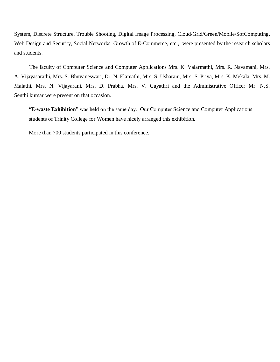System, Discrete Structure, Trouble Shooting, Digital Image Processing, Cloud/Grid/Green/Mobile/SofComputing, Web Design and Security, Social Networks, Growth of E-Commerce, etc., were presented by the research scholars and students.

 The faculty of Computer Science and Computer Applications Mrs. K. Valarmathi, Mrs. R. Navamani, Mrs. A. Vijayasarathi, Mrs. S. Bhuvaneswari, Dr. N. Elamathi, Mrs. S. Usharani, Mrs. S. Priya, Mrs. K. Mekala, Mrs. M. Malathi, Mrs. N. Vijayarani, Mrs. D. Prabha, Mrs. V. Gayathri and the Administrative Officer Mr. N.S. Senthilkumar were present on that occasion.

"**E-waste Exhibition**" was held on the same day. Our Computer Science and Computer Applications students of Trinity College for Women have nicely arranged this exhibition.

More than 700 students participated in this conference.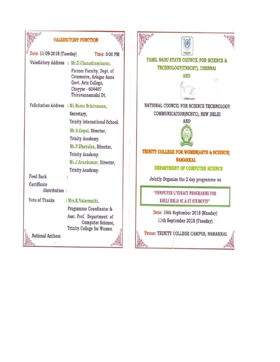| <b>VALEDICTORY FUNCTION</b><br>Date: 11-09-2018 (Tuesday)<br>Time: 3:00 PM<br>Valedictory Address : Mr.D.Chanadrasekaran,<br>Former Faculty, Dept. of<br>Commerce, Aringar Anna<br>Govt. Arts College,<br>Cheyyar - 604407<br>Thiruvannamalai Dt. | TAMIL NADU STATE COUNCIL FOR SCIENCE &<br>TECHNOLOGY(TNSCST), CHENNAI<br><b>AND</b>                                                                                                                                                       |
|---------------------------------------------------------------------------------------------------------------------------------------------------------------------------------------------------------------------------------------------------|-------------------------------------------------------------------------------------------------------------------------------------------------------------------------------------------------------------------------------------------|
| Felicitation Address : Mr. Rama Srinivaasan,<br>Secretary,<br>Trinity International School.<br>Mr.S.Gopal, Director,<br>Trinity Academy.<br>Mr.P.Dhayalan, Director,<br>Trinity Academy.<br>Mr.J.Arunkumar, Director,<br>Trinity Academy.         | NATIONAL COUNCIL FOR SCIENCE TECHNOLOGY<br>COMMUNICATION(NCSTC), NEW DELHI<br><b>AND</b><br>TRINITY COLLEGE FOR WOMEN(ARTS & SCIENCE)<br><b>NAMAKKAL</b><br>DEPARTMENT OF COMPUTER SCIENCE                                                |
| <b>Feed Back</b><br>Certificate<br>Distribution:<br>Vote of Thanks<br>: Mrs.K.Valarmathi.<br>Programme Coordinator &<br>Asst. Prof. Department of<br>Computer Science,<br>Trinity College for Women<br>National Anthem                            | Jointly Organize the 2 day programme on<br>"COMPUTER LITERACY PROGRAMME FOR<br><b>KOLLI HILLS SC &amp; ST STUDENTS"</b><br>Date: 10th September 2018 (Monday)<br>11th September 2018 (Tuesday)<br>Venue: TRINITY COLLEGE CAMPUS, NAMAKKAL |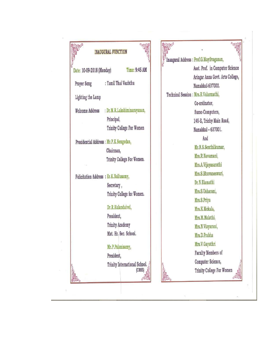

Inaugural Address : Prof.G.Mayilvaganan, Asst. Prof. in Computer Science Aringar Anna Govt. Arts College, Namakkal-637002. Technical Session : Mrs.R.Valarmathi, Co-ordinator, Sumo Computers, 145-E, Trichy Main Road, Namakkal - 637001. And Mr.N.S.Senthilkumar, Mrs.R.Navamani, Mrs.A.Vijayasarathi Mrs.S.Bhuvaneswari, Dr.N.Elamathi Mrs.S.Usharani, Mrs.S.Priya Mrs.K.Mekala, Mrs.M.Malathi, Mrs.N.Viayarani, Mrs.D.Prabha Mrs.V.Gayathri **Faculty Members of** Computer Science, **Trinity College For Women**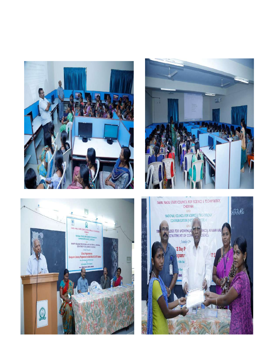